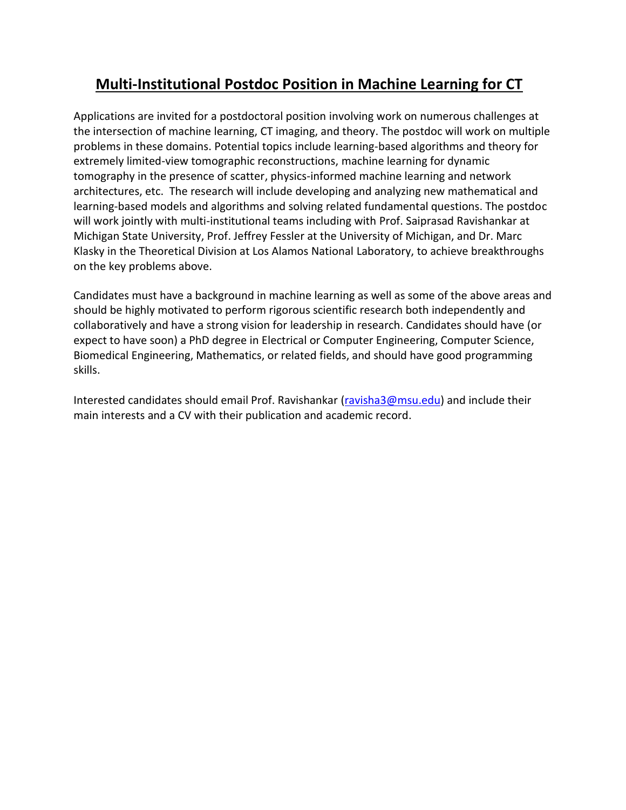## **Multi-Institutional Postdoc Position in Machine Learning for CT**

Applications are invited for a postdoctoral position involving work on numerous challenges at the intersection of machine learning, CT imaging, and theory. The postdoc will work on multiple problems in these domains. Potential topics include learning-based algorithms and theory for extremely limited-view tomographic reconstructions, machine learning for dynamic tomography in the presence of scatter, physics-informed machine learning and network architectures, etc. The research will include developing and analyzing new mathematical and learning-based models and algorithms and solving related fundamental questions. The postdoc will work jointly with multi-institutional teams including with Prof. Saiprasad Ravishankar at Michigan State University, Prof. Jeffrey Fessler at the University of Michigan, and Dr. Marc Klasky in the Theoretical Division at Los Alamos National Laboratory, to achieve breakthroughs on the key problems above.

Candidates must have a background in machine learning as well as some of the above areas and should be highly motivated to perform rigorous scientific research both independently and collaboratively and have a strong vision for leadership in research. Candidates should have (or expect to have soon) a PhD degree in Electrical or Computer Engineering, Computer Science, Biomedical Engineering, Mathematics, or related fields, and should have good programming skills.

Interested candidates should email Prof. Ravishankar [\(ravisha3@msu.edu\)](mailto:ravisha3@msu.edu) and include their main interests and a CV with their publication and academic record.